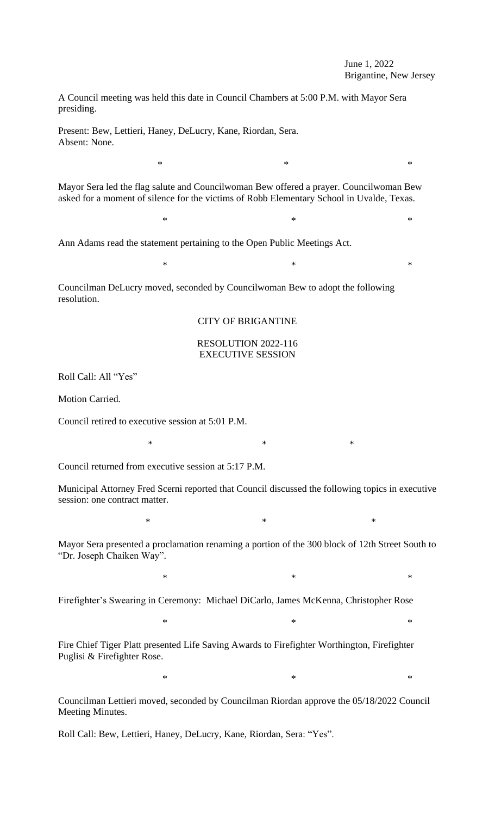A Council meeting was held this date in Council Chambers at 5:00 P.M. with Mayor Sera presiding.

Present: Bew, Lettieri, Haney, DeLucry, Kane, Riordan, Sera. Absent: None.

Mayor Sera led the flag salute and Councilwoman Bew offered a prayer. Councilwoman Bew asked for a moment of silence for the victims of Robb Elementary School in Uvalde, Texas.

 $*$   $*$ 

 $*$   $*$ 

 $*$  \*

Ann Adams read the statement pertaining to the Open Public Meetings Act.

Councilman DeLucry moved, seconded by Councilwoman Bew to adopt the following resolution.

CITY OF BRIGANTINE

## RESOLUTION 2022-116 EXECUTIVE SESSION

Roll Call: All "Yes"

Motion Carried.

Council retired to executive session at 5:01 P.M.

\* \* \*

Council returned from executive session at 5:17 P.M.

Municipal Attorney Fred Scerni reported that Council discussed the following topics in executive session: one contract matter.

 $*$   $*$ 

Mayor Sera presented a proclamation renaming a portion of the 300 block of 12th Street South to "Dr. Joseph Chaiken Way".

 $*$   $*$ 

 $*$   $*$ 

Firefighter's Swearing in Ceremony: Michael DiCarlo, James McKenna, Christopher Rose

Fire Chief Tiger Platt presented Life Saving Awards to Firefighter Worthington, Firefighter Puglisi & Firefighter Rose.

 $*$   $*$ 

Councilman Lettieri moved, seconded by Councilman Riordan approve the 05/18/2022 Council Meeting Minutes.

Roll Call: Bew, Lettieri, Haney, DeLucry, Kane, Riordan, Sera: "Yes".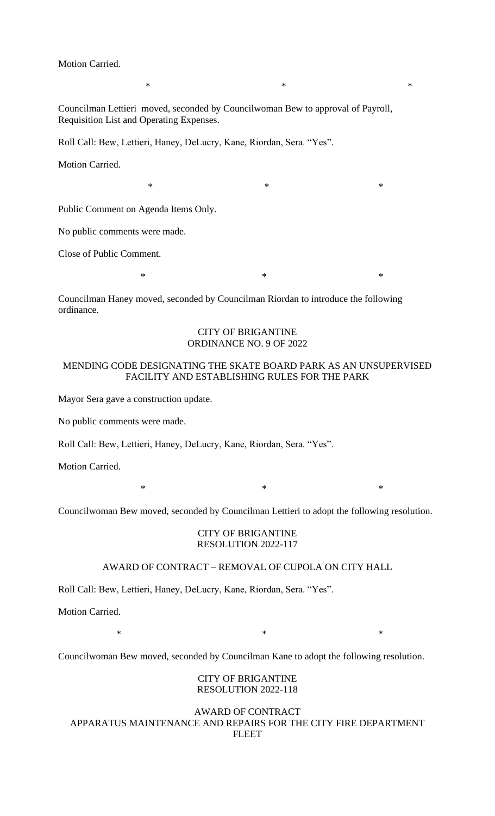Motion Carried.

Councilman Lettieri moved, seconded by Councilwoman Bew to approval of Payroll, Requisition List and Operating Expenses.

Roll Call: Bew, Lettieri, Haney, DeLucry, Kane, Riordan, Sera. "Yes".

Motion Carried.

 $*$   $*$ 

Public Comment on Agenda Items Only.

No public comments were made.

Close of Public Comment.

 $*$  \*

 $*$   $*$ 

Councilman Haney moved, seconded by Councilman Riordan to introduce the following ordinance.

#### CITY OF BRIGANTINE ORDINANCE NO. 9 OF 2022

## MENDING CODE DESIGNATING THE SKATE BOARD PARK AS AN UNSUPERVISED FACILITY AND ESTABLISHING RULES FOR THE PARK

Mayor Sera gave a construction update.

No public comments were made.

Roll Call: Bew, Lettieri, Haney, DeLucry, Kane, Riordan, Sera. "Yes".

Motion Carried.

 $*$  \*

Councilwoman Bew moved, seconded by Councilman Lettieri to adopt the following resolution.

#### CITY OF BRIGANTINE RESOLUTION 2022-117

## AWARD OF CONTRACT – REMOVAL OF CUPOLA ON CITY HALL

Roll Call: Bew, Lettieri, Haney, DeLucry, Kane, Riordan, Sera. "Yes".

Motion Carried.

 $*$   $*$ 

Councilwoman Bew moved, seconded by Councilman Kane to adopt the following resolution.

#### CITY OF BRIGANTINE RESOLUTION 2022-118

## AWARD OF CONTRACT APPARATUS MAINTENANCE AND REPAIRS FOR THE CITY FIRE DEPARTMENT FLEET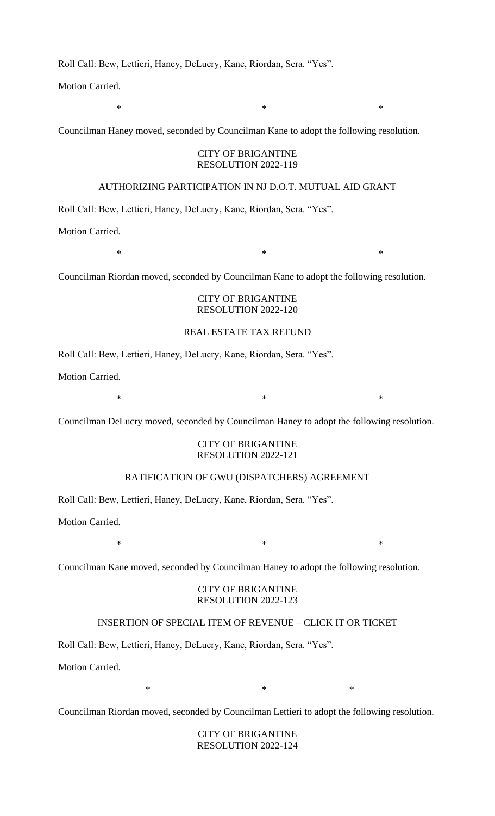Roll Call: Bew, Lettieri, Haney, DeLucry, Kane, Riordan, Sera. "Yes".

Motion Carried.

Councilman Haney moved, seconded by Councilman Kane to adopt the following resolution.

## CITY OF BRIGANTINE RESOLUTION 2022-119

 $*$   $*$ 

#### AUTHORIZING PARTICIPATION IN NJ D.O.T. MUTUAL AID GRANT

Roll Call: Bew, Lettieri, Haney, DeLucry, Kane, Riordan, Sera. "Yes".

Motion Carried.

Councilman Riordan moved, seconded by Councilman Kane to adopt the following resolution.

## CITY OF BRIGANTINE RESOLUTION 2022-120

 $*$   $*$ 

# REAL ESTATE TAX REFUND

Roll Call: Bew, Lettieri, Haney, DeLucry, Kane, Riordan, Sera. "Yes".

Motion Carried.

 $*$   $*$ 

Councilman DeLucry moved, seconded by Councilman Haney to adopt the following resolution.

## CITY OF BRIGANTINE RESOLUTION 2022-121

# RATIFICATION OF GWU (DISPATCHERS) AGREEMENT

Roll Call: Bew, Lettieri, Haney, DeLucry, Kane, Riordan, Sera. "Yes".

Motion Carried.

 $*$   $*$ 

Councilman Kane moved, seconded by Councilman Haney to adopt the following resolution.

## CITY OF BRIGANTINE RESOLUTION 2022-123

## INSERTION OF SPECIAL ITEM OF REVENUE – CLICK IT OR TICKET

Roll Call: Bew, Lettieri, Haney, DeLucry, Kane, Riordan, Sera. "Yes".

Motion Carried.

 $*$   $*$ 

Councilman Riordan moved, seconded by Councilman Lettieri to adopt the following resolution.

CITY OF BRIGANTINE RESOLUTION 2022-124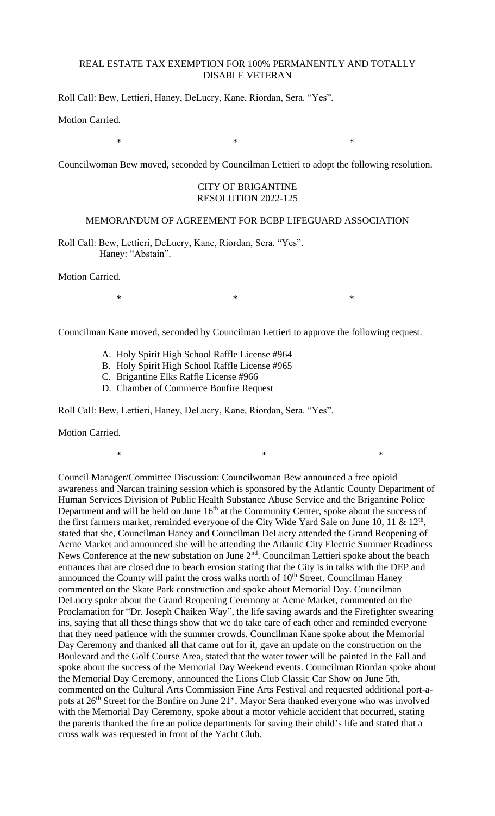## REAL ESTATE TAX EXEMPTION FOR 100% PERMANENTLY AND TOTALLY DISABLE VETERAN

Roll Call: Bew, Lettieri, Haney, DeLucry, Kane, Riordan, Sera. "Yes".

Motion Carried.

 $*$   $*$ 

Councilwoman Bew moved, seconded by Councilman Lettieri to adopt the following resolution.

#### CITY OF BRIGANTINE RESOLUTION 2022-125

#### MEMORANDUM OF AGREEMENT FOR BCBP LIFEGUARD ASSOCIATION

Roll Call: Bew, Lettieri, DeLucry, Kane, Riordan, Sera. "Yes". Haney: "Abstain".

Motion Carried.

 $*$   $*$ 

Councilman Kane moved, seconded by Councilman Lettieri to approve the following request.

- A. Holy Spirit High School Raffle License #964
- B. Holy Spirit High School Raffle License #965
- C. Brigantine Elks Raffle License #966
- D. Chamber of Commerce Bonfire Request

Roll Call: Bew, Lettieri, Haney, DeLucry, Kane, Riordan, Sera. "Yes".

Motion Carried.

Council Manager/Committee Discussion: Councilwoman Bew announced a free opioid awareness and Narcan training session which is sponsored by the Atlantic County Department of Human Services Division of Public Health Substance Abuse Service and the Brigantine Police Department and will be held on June 16<sup>th</sup> at the Community Center, spoke about the success of the first farmers market, reminded everyone of the City Wide Yard Sale on June 10, 11 &  $12<sup>th</sup>$ , stated that she, Councilman Haney and Councilman DeLucry attended the Grand Reopening of Acme Market and announced she will be attending the Atlantic City Electric Summer Readiness News Conference at the new substation on June 2<sup>nd</sup>. Councilman Lettieri spoke about the beach entrances that are closed due to beach erosion stating that the City is in talks with the DEP and announced the County will paint the cross walks north of  $10<sup>th</sup>$  Street. Councilman Haney commented on the Skate Park construction and spoke about Memorial Day. Councilman DeLucry spoke about the Grand Reopening Ceremony at Acme Market, commented on the Proclamation for "Dr. Joseph Chaiken Way", the life saving awards and the Firefighter swearing ins, saying that all these things show that we do take care of each other and reminded everyone that they need patience with the summer crowds. Councilman Kane spoke about the Memorial Day Ceremony and thanked all that came out for it, gave an update on the construction on the Boulevard and the Golf Course Area, stated that the water tower will be painted in the Fall and spoke about the success of the Memorial Day Weekend events. Councilman Riordan spoke about the Memorial Day Ceremony, announced the Lions Club Classic Car Show on June 5th, commented on the Cultural Arts Commission Fine Arts Festival and requested additional port-apots at 26<sup>th</sup> Street for the Bonfire on June 21<sup>st</sup>. Mayor Sera thanked everyone who was involved with the Memorial Day Ceremony, spoke about a motor vehicle accident that occurred, stating the parents thanked the fire an police departments for saving their child's life and stated that a cross walk was requested in front of the Yacht Club.

 $*$   $*$